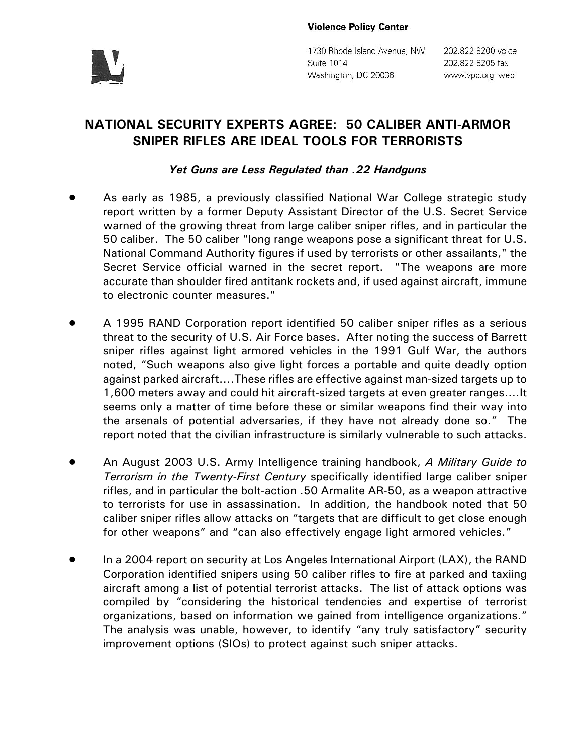

1730 Rhode Island Avenue, NW Suite 1014 Washington, DC 20036

202.822.8200 voice 202.822.8205 fax www.vpc.org web

## **NATIONAL SECURITY EXPERTS AGREE: 50 CALIBER ANTI-ARMOR SNIPER RIFLES ARE IDEAL TOOLS FOR TERRORISTS**

## *Yet Guns are Less Regulated than .22 Handguns*

- ! As early as 1985, a previously classified National War College strategic study report written by a former Deputy Assistant Director of the U.S. Secret Service warned of the growing threat from large caliber sniper rifles, and in particular the 50 caliber. The 50 caliber "long range weapons pose a significant threat for U.S. National Command Authority figures if used by terrorists or other assailants," the Secret Service official warned in the secret report. "The weapons are more accurate than shoulder fired antitank rockets and, if used against aircraft, immune to electronic counter measures."
- ! A 1995 RAND Corporation report identified 50 caliber sniper rifles as a serious threat to the security of U.S. Air Force bases. After noting the success of Barrett sniper rifles against light armored vehicles in the 1991 Gulf War, the authors noted, "Such weapons also give light forces a portable and quite deadly option against parked aircraft....These rifles are effective against man-sized targets up to 1,600 meters away and could hit aircraft-sized targets at even greater ranges....It seems only a matter of time before these or similar weapons find their way into the arsenals of potential adversaries, if they have not already done so." The report noted that the civilian infrastructure is similarly vulnerable to such attacks.
- ! An August 2003 U.S. Army Intelligence training handbook, *A Military Guide to Terrorism in the Twenty-First Century* specifically identified large caliber sniper rifles, and in particular the bolt-action .50 Armalite AR-50, as a weapon attractive to terrorists for use in assassination. In addition, the handbook noted that 50 caliber sniper rifles allow attacks on "targets that are difficult to get close enough for other weapons" and "can also effectively engage light armored vehicles."
- In a 2004 report on security at Los Angeles International Airport (LAX), the RAND Corporation identified snipers using 50 caliber rifles to fire at parked and taxiing aircraft among a list of potential terrorist attacks. The list of attack options was compiled by "considering the historical tendencies and expertise of terrorist organizations, based on information we gained from intelligence organizations." The analysis was unable, however, to identify "any truly satisfactory" security improvement options (SIOs) to protect against such sniper attacks.